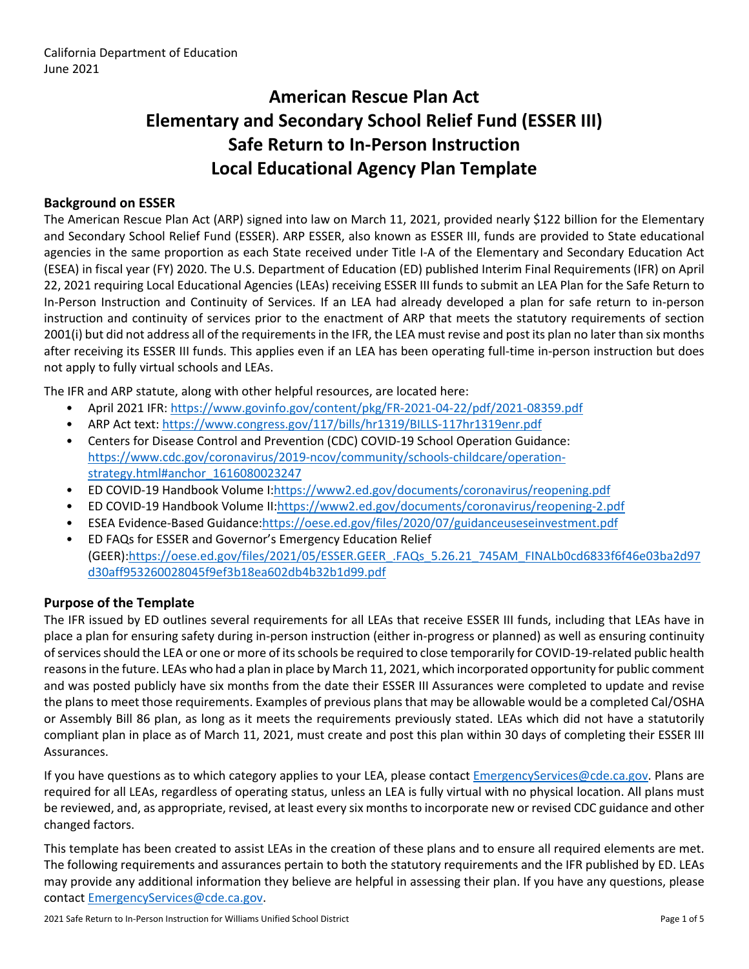# **American Rescue Plan Act Elementary and Secondary School Relief Fund (ESSER III) Safe Return to In-Person Instruction Local Educational Agency Plan Template**

#### **Background on ESSER**

The American Rescue Plan Act (ARP) signed into law on March 11, 2021, provided nearly \$122 billion for the Elementary and Secondary School Relief Fund (ESSER). ARP ESSER, also known as ESSER III, funds are provided to State educational agencies in the same proportion as each State received under Title I-A of the Elementary and Secondary Education Act (ESEA) in fiscal year (FY) 2020. The U.S. Department of Education (ED) published Interim Final Requirements (IFR) on April 22, 2021 requiring Local Educational Agencies (LEAs) receiving ESSER III funds to submit an LEA Plan for the Safe Return to In-Person Instruction and Continuity of Services. If an LEA had already developed a plan for safe return to in-person instruction and continuity of services prior to the enactment of ARP that meets the statutory requirements of section 2001(i) but did not address all of the requirements in the IFR, the LEA must revise and post its plan no later than six months after receiving its ESSER III funds. This applies even if an LEA has been operating full-time in-person instruction but does not apply to fully virtual schools and LEAs.

The IFR and ARP statute, along with other helpful resources, are located here:

- April 2021 IFR: <https://www.govinfo.gov/content/pkg/FR-2021-04-22/pdf/2021-08359.pdf>
- ARP Act text: <https://www.congress.gov/117/bills/hr1319/BILLS-117hr1319enr.pdf>
- Centers for Disease Control and Prevention (CDC) COVID-19 School Operation Guidance: [https://www.cdc.gov/coronavirus/2019-ncov/community/schools-childcare/operation](https://www.cdc.gov/coronavirus/2019-ncov/community/schools-childcare/operation-strategy.html#anchor_1616080023247)[strategy.html#anchor\\_1616080023247](https://www.cdc.gov/coronavirus/2019-ncov/community/schools-childcare/operation-strategy.html#anchor_1616080023247)
- ED COVID-19 Handbook Volume I:[https://www2.ed.gov/documents/coronavirus/reopening.pdf](https://www2.ed.gov/documents/coronavirus/reopening.pdf%20)
- ED COVID-19 Handbook Volume II:<https://www2.ed.gov/documents/coronavirus/reopening-2.pdf>
- ESEA Evidence-Based Guidance[:https://oese.ed.gov/files/2020/07/guidanceuseseinvestment.pdf](https://oese.ed.gov/files/2020/07/guidanceuseseinvestment.pdf)
- ED FAQs for ESSER and Governor's Emergency Education Relief (GEER)[:https://oese.ed.gov/files/2021/05/ESSER.GEER\\_.FAQs\\_5.26.21\\_745AM\\_FINALb0cd6833f6f46e03ba2d97](https://oese.ed.gov/files/2021/05/ESSER.GEER_.FAQs_5.26.21_745AM_FINALb0cd6833f6f46e03ba2d97d30aff953260028045f9ef3b18ea602db4b32b1d99.pdf) [d30aff953260028045f9ef3b18ea602db4b32b1d99.pdf](https://oese.ed.gov/files/2021/05/ESSER.GEER_.FAQs_5.26.21_745AM_FINALb0cd6833f6f46e03ba2d97d30aff953260028045f9ef3b18ea602db4b32b1d99.pdf)

#### **Purpose of the Template**

The IFR issued by ED outlines several requirements for all LEAs that receive ESSER III funds, including that LEAs have in place a plan for ensuring safety during in-person instruction (either in-progress or planned) as well as ensuring continuity of services should the LEA or one or more of its schools be required to close temporarily for COVID-19-related public health reasons in the future. LEAs who had a plan in place by March 11, 2021, which incorporated opportunity for public comment and was posted publicly have six months from the date their ESSER III Assurances were completed to update and revise the plans to meet those requirements. Examples of previous plans that may be allowable would be a completed Cal/OSHA or Assembly Bill 86 plan, as long as it meets the requirements previously stated. LEAs which did not have a statutorily compliant plan in place as of March 11, 2021, must create and post this plan within 30 days of completing their ESSER III Assurances.

If you have questions as to which category applies to your LEA, please contact [EmergencyServices@cde.ca.gov.](mailto:EmergencyServices@cde.ca.gov) Plans are required for all LEAs, regardless of operating status, unless an LEA is fully virtual with no physical location. All plans must be reviewed, and, as appropriate, revised, at least every six months to incorporate new or revised CDC guidance and other changed factors.

This template has been created to assist LEAs in the creation of these plans and to ensure all required elements are met. The following requirements and assurances pertain to both the statutory requirements and the IFR published by ED. LEAs may provide any additional information they believe are helpful in assessing their plan. If you have any questions, please contact [EmergencyServices@cde.ca.gov.](mailto:EmergencyServices@cde.ca.gov)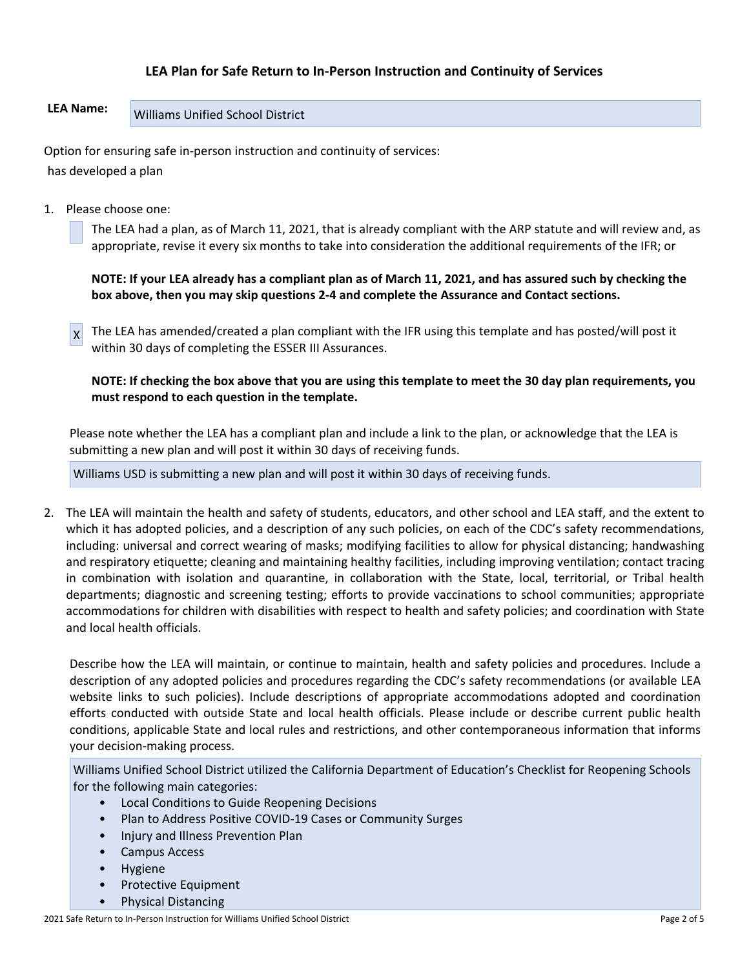### **LEA Plan for Safe Return to In-Person Instruction and Continuity of Services**

## LEA Name: Williams Unified School District

Option for ensuring safe in-person instruction and continuity of services: has developed a plan

1. Please choose one:

The LEA had a plan, as of March 11, 2021, that is already compliant with the ARP statute and will review and, as appropriate, revise it every six months to take into consideration the additional requirements of the IFR; or

**NOTE: If your LEA already has a compliant plan as of March 11, 2021, and has assured such by checking the box above, then you may skip questions 2-4 and complete the Assurance and Contact sections.**

 $x$  The LEA has amended/created a plan compliant with the IFR using this template and has posted/will post it within 30 days of completing the ESSER III Assurances.

**NOTE: If checking the box above that you are using this template to meet the 30 day plan requirements, you must respond to each question in the template.**

Please note whether the LEA has a compliant plan and include a link to the plan, or acknowledge that the LEA is submitting a new plan and will post it within 30 days of receiving funds.

Williams USD is submitting a new plan and will post it within 30 days of receiving funds.

2. The LEA will maintain the health and safety of students, educators, and other school and LEA staff, and the extent to which it has adopted policies, and a description of any such policies, on each of the CDC's safety recommendations, including: universal and correct wearing of masks; modifying facilities to allow for physical distancing; handwashing and respiratory etiquette; cleaning and maintaining healthy facilities, including improving ventilation; contact tracing in combination with isolation and quarantine, in collaboration with the State, local, territorial, or Tribal health departments; diagnostic and screening testing; efforts to provide vaccinations to school communities; appropriate accommodations for children with disabilities with respect to health and safety policies; and coordination with State and local health officials.

Describe how the LEA will maintain, or continue to maintain, health and safety policies and procedures. Include a description of any adopted policies and procedures regarding the CDC's safety recommendations (or available LEA website links to such policies). Include descriptions of appropriate accommodations adopted and coordination efforts conducted with outside State and local health officials. Please include or describe current public health conditions, applicable State and local rules and restrictions, and other contemporaneous information that informs your decision-making process.

Williams Unified School District utilized the California Department of Education's Checklist for Reopening Schools for the following main categories:

- Local Conditions to Guide Reopening Decisions
- Plan to Address Positive COVID-19 Cases or Community Surges
- Injury and Illness Prevention Plan
- Campus Access
- Hygiene
- Protective Equipment
- Physical Distancing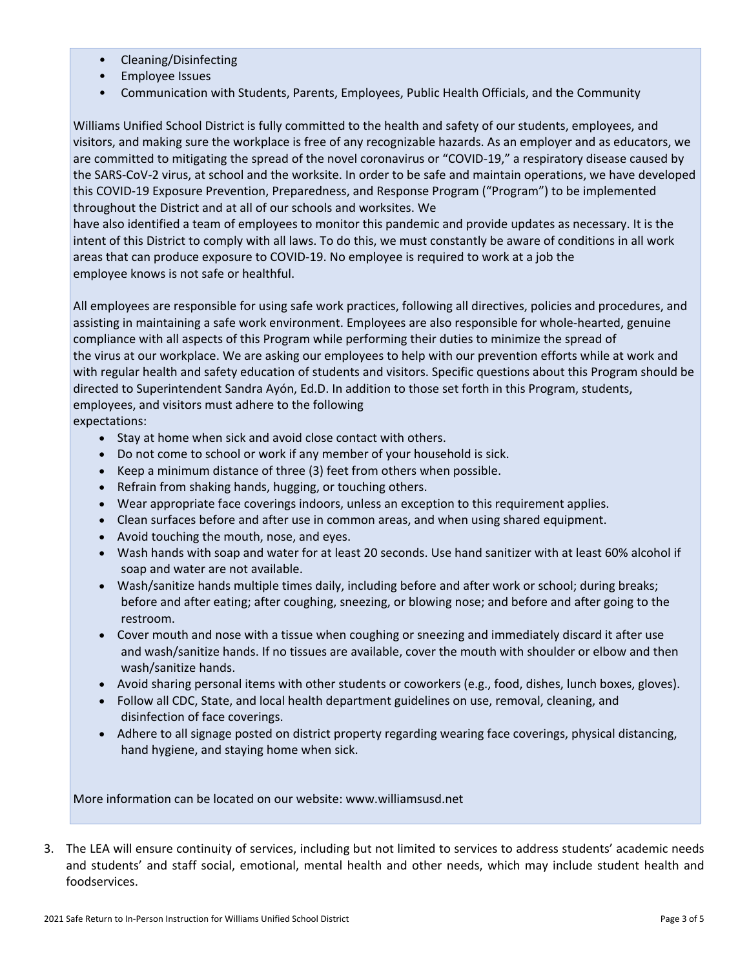- Cleaning/Disinfecting
- Employee Issues
- Communication with Students, Parents, Employees, Public Health Officials, and the Community

Williams Unified School District is fully committed to the health and safety of our students, employees, and visitors, and making sure the workplace is free of any recognizable hazards. As an employer and as educators, we are committed to mitigating the spread of the novel coronavirus or "COVID-19," a respiratory disease caused by the SARS-CoV-2 virus, at school and the worksite. In order to be safe and maintain operations, we have developed this COVID-19 Exposure Prevention, Preparedness, and Response Program ("Program") to be implemented throughout the District and at all of our schools and worksites. We

have also identified a team of employees to monitor this pandemic and provide updates as necessary. It is the intent of this District to comply with all laws. To do this, we must constantly be aware of conditions in all work areas that can produce exposure to COVID-19. No employee is required to work at a job the employee knows is not safe or healthful.

All employees are responsible for using safe work practices, following all directives, policies and procedures, and assisting in maintaining a safe work environment. Employees are also responsible for whole-hearted, genuine compliance with all aspects of this Program while performing their duties to minimize the spread of the virus at our workplace. We are asking our employees to help with our prevention efforts while at work and with regular health and safety education of students and visitors. Specific questions about this Program should be directed to Superintendent Sandra Ayón, Ed.D. In addition to those set forth in this Program, students, employees, and visitors must adhere to the following

expectations:

- Stay at home when sick and avoid close contact with others.
- Do not come to school or work if any member of your household is sick.
- Keep a minimum distance of three (3) feet from others when possible.
- Refrain from shaking hands, hugging, or touching others.
- Wear appropriate face coverings indoors, unless an exception to this requirement applies.
- Clean surfaces before and after use in common areas, and when using shared equipment.
- Avoid touching the mouth, nose, and eyes.
- Wash hands with soap and water for at least 20 seconds. Use hand sanitizer with at least 60% alcohol if soap and water are not available.
- Wash/sanitize hands multiple times daily, including before and after work or school; during breaks; before and after eating; after coughing, sneezing, or blowing nose; and before and after going to the restroom.
- Cover mouth and nose with a tissue when coughing or sneezing and immediately discard it after use and wash/sanitize hands. If no tissues are available, cover the mouth with shoulder or elbow and then wash/sanitize hands.
- Avoid sharing personal items with other students or coworkers (e.g., food, dishes, lunch boxes, gloves).
- Follow all CDC, State, and local health department guidelines on use, removal, cleaning, and disinfection of face coverings.
- Adhere to all signage posted on district property regarding wearing face coverings, physical distancing, hand hygiene, and staying home when sick.

More information can be located on our website: www.williamsusd.net

3. The LEA will ensure continuity of services, including but not limited to services to address students' academic needs and students' and staff social, emotional, mental health and other needs, which may include student health and foodservices.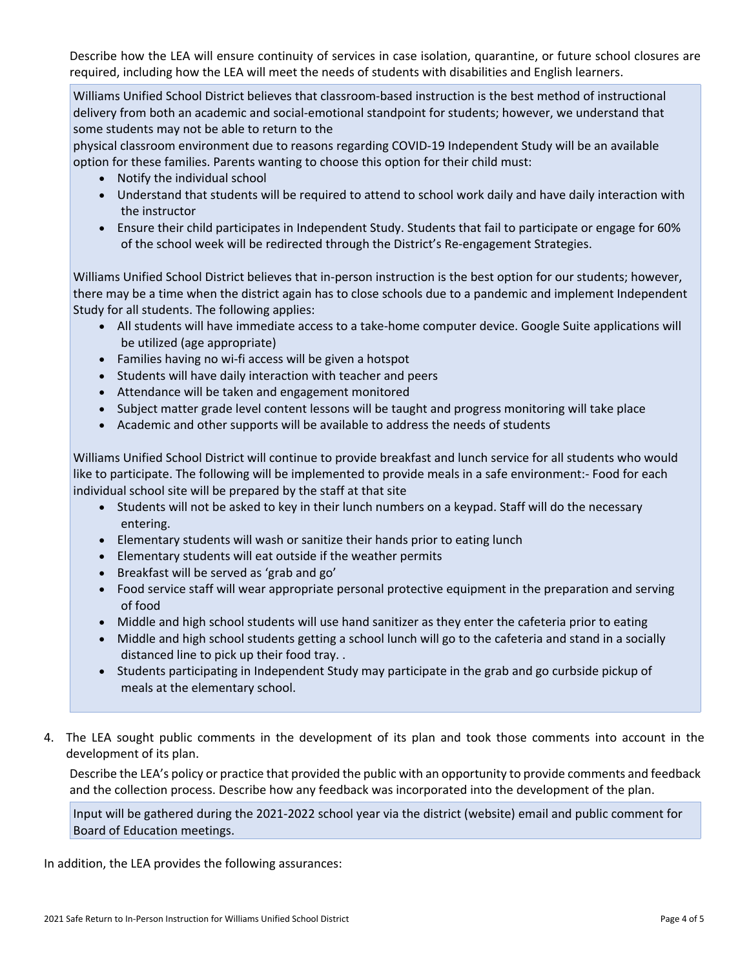Describe how the LEA will ensure continuity of services in case isolation, quarantine, or future school closures are required, including how the LEA will meet the needs of students with disabilities and English learners.

Williams Unified School District believes that classroom-based instruction is the best method of instructional delivery from both an academic and social-emotional standpoint for students; however, we understand that some students may not be able to return to the

physical classroom environment due to reasons regarding COVID-19 Independent Study will be an available option for these families. Parents wanting to choose this option for their child must:

- Notify the individual school
- Understand that students will be required to attend to school work daily and have daily interaction with the instructor
- Ensure their child participates in Independent Study. Students that fail to participate or engage for 60% of the school week will be redirected through the District's Re-engagement Strategies.

Williams Unified School District believes that in-person instruction is the best option for our students; however, there may be a time when the district again has to close schools due to a pandemic and implement Independent Study for all students. The following applies:

- All students will have immediate access to a take-home computer device. Google Suite applications will be utilized (age appropriate)
- Families having no wi-fi access will be given a hotspot
- Students will have daily interaction with teacher and peers
- Attendance will be taken and engagement monitored
- Subject matter grade level content lessons will be taught and progress monitoring will take place
- Academic and other supports will be available to address the needs of students

Williams Unified School District will continue to provide breakfast and lunch service for all students who would like to participate. The following will be implemented to provide meals in a safe environment:- Food for each individual school site will be prepared by the staff at that site

- Students will not be asked to key in their lunch numbers on a keypad. Staff will do the necessary entering.
- Elementary students will wash or sanitize their hands prior to eating lunch
- Elementary students will eat outside if the weather permits
- Breakfast will be served as 'grab and go'
- Food service staff will wear appropriate personal protective equipment in the preparation and serving of food
- Middle and high school students will use hand sanitizer as they enter the cafeteria prior to eating
- Middle and high school students getting a school lunch will go to the cafeteria and stand in a socially distanced line to pick up their food tray. .
- Students participating in Independent Study may participate in the grab and go curbside pickup of meals at the elementary school.
- 4. The LEA sought public comments in the development of its plan and took those comments into account in the development of its plan.

Describe the LEA's policy or practice that provided the public with an opportunity to provide comments and feedback and the collection process. Describe how any feedback was incorporated into the development of the plan.

Input will be gathered during the 2021-2022 school year via the district (website) email and public comment for Board of Education meetings.

In addition, the LEA provides the following assurances: